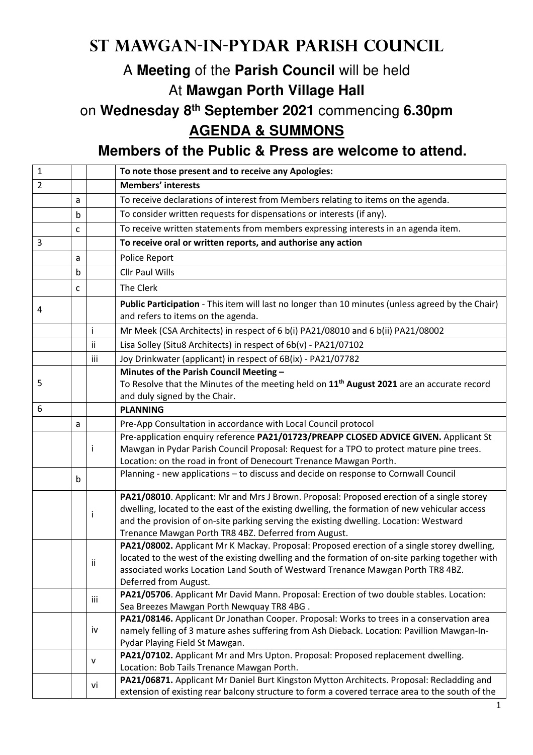## **St Mawgan-in-Pydar Parish Council**

## A **Meeting** of the **Parish Council** will be held At **Mawgan Porth Village Hall**

on **Wednesday 8th September 2021** commencing **6.30pm AGENDA & SUMMONS** 

**Members of the Public & Press are welcome to attend.** 

| $\mathbf{1}$   |   |              | To note those present and to receive any Apologies:                                                                                   |
|----------------|---|--------------|---------------------------------------------------------------------------------------------------------------------------------------|
| $\overline{2}$ |   |              | <b>Members' interests</b>                                                                                                             |
|                | a |              | To receive declarations of interest from Members relating to items on the agenda.                                                     |
|                |   |              | To consider written requests for dispensations or interests (if any).                                                                 |
|                | b |              |                                                                                                                                       |
|                | C |              | To receive written statements from members expressing interests in an agenda item.                                                    |
| 3              |   |              | To receive oral or written reports, and authorise any action                                                                          |
|                | a |              | Police Report                                                                                                                         |
|                | b |              | <b>Cllr Paul Wills</b>                                                                                                                |
|                | C |              | The Clerk                                                                                                                             |
| 4              |   |              | Public Participation - This item will last no longer than 10 minutes (unless agreed by the Chair)                                     |
|                |   |              | and refers to items on the agenda.                                                                                                    |
|                |   | Ť            | Mr Meek (CSA Architects) in respect of 6 b(i) PA21/08010 and 6 b(ii) PA21/08002                                                       |
|                |   | ii           | Lisa Solley (Situ8 Architects) in respect of 6b(v) - PA21/07102                                                                       |
|                |   | iii          | Joy Drinkwater (applicant) in respect of 6B(ix) - PA21/07782                                                                          |
|                |   |              | Minutes of the Parish Council Meeting -                                                                                               |
| 5              |   |              | To Resolve that the Minutes of the meeting held on $11th$ August 2021 are an accurate record                                          |
|                |   |              | and duly signed by the Chair.                                                                                                         |
| 6              |   |              | <b>PLANNING</b>                                                                                                                       |
|                | a |              | Pre-App Consultation in accordance with Local Council protocol                                                                        |
|                |   |              | Pre-application enquiry reference PA21/01723/PREAPP CLOSED ADVICE GIVEN. Applicant St                                                 |
|                |   | İ            | Mawgan in Pydar Parish Council Proposal: Request for a TPO to protect mature pine trees.                                              |
|                |   |              | Location: on the road in front of Denecourt Trenance Mawgan Porth.                                                                    |
|                | b |              | Planning - new applications - to discuss and decide on response to Cornwall Council                                                   |
|                |   |              | PA21/08010. Applicant: Mr and Mrs J Brown. Proposal: Proposed erection of a single storey                                             |
|                |   | $\mathbf{I}$ | dwelling, located to the east of the existing dwelling, the formation of new vehicular access                                         |
|                |   |              | and the provision of on-site parking serving the existing dwelling. Location: Westward                                                |
|                |   |              | Trenance Mawgan Porth TR8 4BZ. Deferred from August.                                                                                  |
|                |   |              | PA21/08002. Applicant Mr K Mackay. Proposal: Proposed erection of a single storey dwelling,                                           |
|                |   | ii           | located to the west of the existing dwelling and the formation of on-site parking together with                                       |
|                |   |              | associated works Location Land South of Westward Trenance Mawgan Porth TR8 4BZ.                                                       |
|                |   |              | Deferred from August.                                                                                                                 |
|                |   | iii          | PA21/05706. Applicant Mr David Mann. Proposal: Erection of two double stables. Location:<br>Sea Breezes Mawgan Porth Newquay TR8 4BG. |
|                |   |              | PA21/08146. Applicant Dr Jonathan Cooper. Proposal: Works to trees in a conservation area                                             |
|                |   | iv           | namely felling of 3 mature ashes suffering from Ash Dieback. Location: Pavillion Mawgan-In-                                           |
|                |   |              | Pydar Playing Field St Mawgan.                                                                                                        |
|                |   |              | PA21/07102. Applicant Mr and Mrs Upton. Proposal: Proposed replacement dwelling.                                                      |
|                |   | v            | Location: Bob Tails Trenance Mawgan Porth.                                                                                            |
|                |   |              | PA21/06871. Applicant Mr Daniel Burt Kingston Mytton Architects. Proposal: Recladding and                                             |
|                |   | vi           | extension of existing rear balcony structure to form a covered terrace area to the south of the                                       |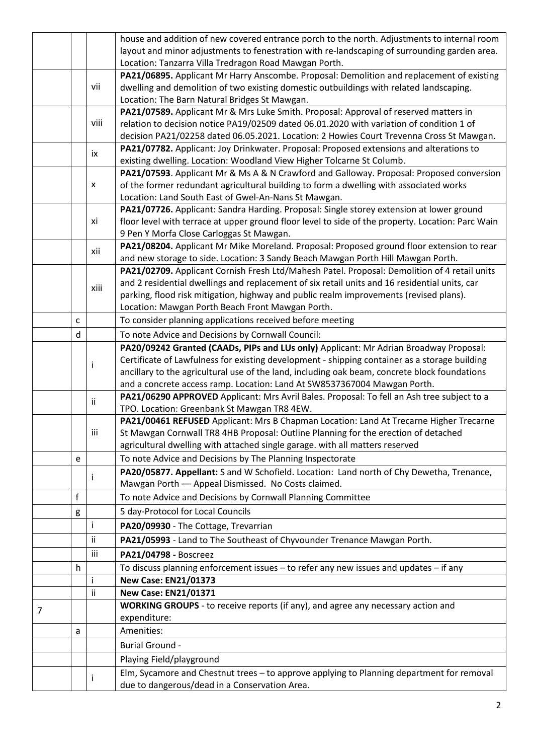|   |   |      | house and addition of new covered entrance porch to the north. Adjustments to internal room                                                                                                   |
|---|---|------|-----------------------------------------------------------------------------------------------------------------------------------------------------------------------------------------------|
|   |   |      | layout and minor adjustments to fenestration with re-landscaping of surrounding garden area.                                                                                                  |
|   |   |      | Location: Tanzarra Villa Tredragon Road Mawgan Porth.                                                                                                                                         |
|   |   |      | PA21/06895. Applicant Mr Harry Anscombe. Proposal: Demolition and replacement of existing                                                                                                     |
|   |   | vii  | dwelling and demolition of two existing domestic outbuildings with related landscaping.                                                                                                       |
|   |   |      | Location: The Barn Natural Bridges St Mawgan.                                                                                                                                                 |
|   |   |      | PA21/07589. Applicant Mr & Mrs Luke Smith. Proposal: Approval of reserved matters in                                                                                                          |
|   |   | viii | relation to decision notice PA19/02509 dated 06.01.2020 with variation of condition 1 of                                                                                                      |
|   |   |      | decision PA21/02258 dated 06.05.2021. Location: 2 Howies Court Trevenna Cross St Mawgan.                                                                                                      |
|   |   | ix   | PA21/07782. Applicant: Joy Drinkwater. Proposal: Proposed extensions and alterations to                                                                                                       |
|   |   |      | existing dwelling. Location: Woodland View Higher Tolcarne St Columb.                                                                                                                         |
|   |   |      | PA21/07593. Applicant Mr & Ms A & N Crawford and Galloway. Proposal: Proposed conversion                                                                                                      |
|   |   | X    | of the former redundant agricultural building to form a dwelling with associated works                                                                                                        |
|   |   |      | Location: Land South East of Gwel-An-Nans St Mawgan.                                                                                                                                          |
|   |   | хi   | PA21/07726. Applicant: Sandra Harding. Proposal: Single storey extension at lower ground<br>floor level with terrace at upper ground floor level to side of the property. Location: Parc Wain |
|   |   |      | 9 Pen Y Morfa Close Carloggas St Mawgan.                                                                                                                                                      |
|   |   |      | PA21/08204. Applicant Mr Mike Moreland. Proposal: Proposed ground floor extension to rear                                                                                                     |
|   |   | xii  | and new storage to side. Location: 3 Sandy Beach Mawgan Porth Hill Mawgan Porth.                                                                                                              |
|   |   |      | PA21/02709. Applicant Cornish Fresh Ltd/Mahesh Patel. Proposal: Demolition of 4 retail units                                                                                                  |
|   |   |      | and 2 residential dwellings and replacement of six retail units and 16 residential units, car                                                                                                 |
|   |   | xiii | parking, flood risk mitigation, highway and public realm improvements (revised plans).                                                                                                        |
|   |   |      | Location: Mawgan Porth Beach Front Mawgan Porth.                                                                                                                                              |
|   | C |      | To consider planning applications received before meeting                                                                                                                                     |
|   | d |      | To note Advice and Decisions by Cornwall Council:                                                                                                                                             |
|   |   |      | PA20/09242 Granted (CAADs, PIPs and LUs only) Applicant: Mr Adrian Broadway Proposal:                                                                                                         |
|   |   |      | Certificate of Lawfulness for existing development - shipping container as a storage building                                                                                                 |
|   |   |      | ancillary to the agricultural use of the land, including oak beam, concrete block foundations                                                                                                 |
|   |   |      | and a concrete access ramp. Location: Land At SW8537367004 Mawgan Porth.                                                                                                                      |
|   |   | ij.  | PA21/06290 APPROVED Applicant: Mrs Avril Bales. Proposal: To fell an Ash tree subject to a                                                                                                    |
|   |   |      | TPO. Location: Greenbank St Mawgan TR8 4EW.                                                                                                                                                   |
|   |   |      | PA21/00461 REFUSED Applicant: Mrs B Chapman Location: Land At Trecarne Higher Trecarne                                                                                                        |
|   |   | iii  | St Mawgan Cornwall TR8 4HB Proposal: Outline Planning for the erection of detached                                                                                                            |
|   |   |      | agricultural dwelling with attached single garage. with all matters reserved                                                                                                                  |
|   | e |      | To note Advice and Decisions by The Planning Inspectorate                                                                                                                                     |
|   |   |      | PA20/05877. Appellant: S and W Schofield. Location: Land north of Chy Dewetha, Trenance,                                                                                                      |
|   |   |      | Mawgan Porth - Appeal Dismissed. No Costs claimed.                                                                                                                                            |
|   | f |      | To note Advice and Decisions by Cornwall Planning Committee                                                                                                                                   |
|   | g |      | 5 day-Protocol for Local Councils                                                                                                                                                             |
|   |   | i    | PA20/09930 - The Cottage, Trevarrian                                                                                                                                                          |
|   |   | Ϊİ   | PA21/05993 - Land to The Southeast of Chyvounder Trenance Mawgan Porth.                                                                                                                       |
|   |   | iii  | PA21/04798 - Boscreez                                                                                                                                                                         |
|   | h |      | To discuss planning enforcement issues - to refer any new issues and updates - if any                                                                                                         |
|   |   |      | <b>New Case: EN21/01373</b>                                                                                                                                                                   |
|   |   | ĨÎ.  | <b>New Case: EN21/01371</b>                                                                                                                                                                   |
| 7 |   |      | WORKING GROUPS - to receive reports (if any), and agree any necessary action and                                                                                                              |
|   |   |      | expenditure:                                                                                                                                                                                  |
|   | a |      | Amenities:                                                                                                                                                                                    |
|   |   |      | <b>Burial Ground -</b>                                                                                                                                                                        |
|   |   |      | Playing Field/playground                                                                                                                                                                      |
|   |   |      | Elm, Sycamore and Chestnut trees - to approve applying to Planning department for removal                                                                                                     |
|   |   |      | due to dangerous/dead in a Conservation Area.                                                                                                                                                 |